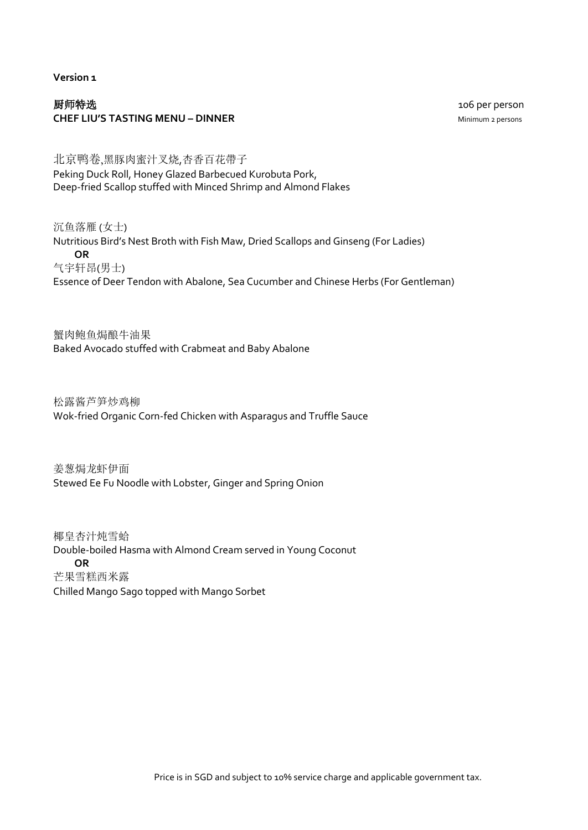**Version 1**

## 厨师特选106 per person **CHEF LIU'S TASTING MENU – DINNER** MINIMUM 2 persons

北京鸭卷,黑豚肉蜜汁叉烧,杏香百花帶子 Peking Duck Roll, Honey Glazed Barbecued Kurobuta Pork, Deep-fried Scallop stuffed with Minced Shrimp and Almond Flakes

沉鱼落雁 (女士) Nutritious Bird's Nest Broth with Fish Maw, Dried Scallops and Ginseng (For Ladies) **OR** 气宇轩昂(男士) Essence of Deer Tendon with Abalone, Sea Cucumber and Chinese Herbs (For Gentleman)

蟹肉鲍鱼焗酿牛油果 Baked Avocado stuffed with Crabmeat and Baby Abalone

松露酱芦笋炒鸡柳 Wok-fried Organic Corn-fed Chicken with Asparagus and Truffle Sauce

姜葱焗龙虾伊面 Stewed Ee Fu Noodle with Lobster, Ginger and Spring Onion

椰皇杏汁炖雪蛤 Double-boiled Hasma with Almond Cream served in Young Coconut **OR** 芒果雪糕西米露 Chilled Mango Sago topped with Mango Sorbet